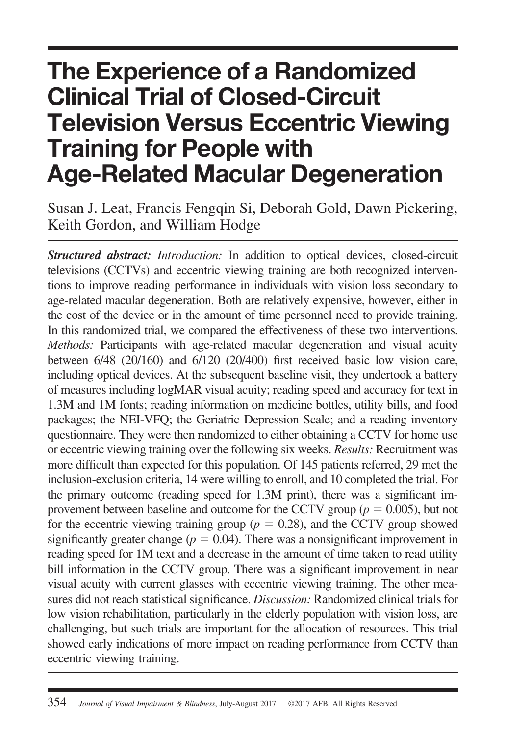# **The Experience of a Randomized Clinical Trial of Closed-Circuit Television Versus Eccentric Viewing Training for People with Age-Related Macular Degeneration**

Susan J. Leat, Francis Fengqin Si, Deborah Gold, Dawn Pickering, Keith Gordon, and William Hodge

*Structured abstract: Introduction:* In addition to optical devices, closed-circuit televisions (CCTVs) and eccentric viewing training are both recognized interventions to improve reading performance in individuals with vision loss secondary to age-related macular degeneration. Both are relatively expensive, however, either in the cost of the device or in the amount of time personnel need to provide training. In this randomized trial, we compared the effectiveness of these two interventions. *Methods:* Participants with age-related macular degeneration and visual acuity between 6/48 (20/160) and 6/120 (20/400) first received basic low vision care, including optical devices. At the subsequent baseline visit, they undertook a battery of measures including logMAR visual acuity; reading speed and accuracy for text in 1.3M and 1M fonts; reading information on medicine bottles, utility bills, and food packages; the NEI-VFQ; the Geriatric Depression Scale; and a reading inventory questionnaire. They were then randomized to either obtaining a CCTV for home use or eccentric viewing training over the following six weeks. *Results:* Recruitment was more difficult than expected for this population. Of 145 patients referred, 29 met the inclusion-exclusion criteria, 14 were willing to enroll, and 10 completed the trial. For the primary outcome (reading speed for 1.3M print), there was a significant improvement between baseline and outcome for the CCTV group ( $p = 0.005$ ), but not for the eccentric viewing training group  $(p = 0.28)$ , and the CCTV group showed significantly greater change ( $p = 0.04$ ). There was a nonsignificant improvement in reading speed for 1M text and a decrease in the amount of time taken to read utility bill information in the CCTV group. There was a significant improvement in near visual acuity with current glasses with eccentric viewing training. The other measures did not reach statistical significance. *Discussion:* Randomized clinical trials for low vision rehabilitation, particularly in the elderly population with vision loss, are challenging, but such trials are important for the allocation of resources. This trial showed early indications of more impact on reading performance from CCTV than eccentric viewing training.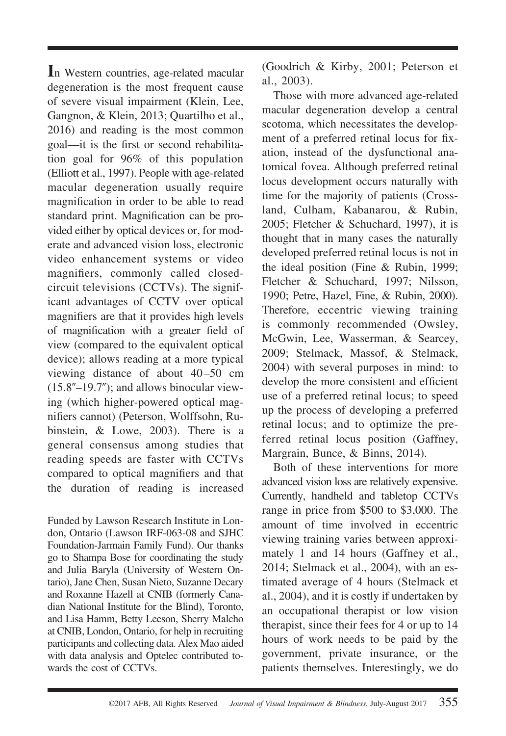**I**n Western countries, age-related macular degeneration is the most frequent cause of severe visual impairment (Klein, Lee, Gangnon, & Klein, 2013; Quartilho et al., 2016) and reading is the most common goal—it is the first or second rehabilitation goal for 96% of this population (Elliott et al., 1997). People with age-related macular degeneration usually require magnification in order to be able to read standard print. Magnification can be provided either by optical devices or, for moderate and advanced vision loss, electronic video enhancement systems or video magnifiers, commonly called closedcircuit televisions (CCTVs). The significant advantages of CCTV over optical magnifiers are that it provides high levels of magnification with a greater field of view (compared to the equivalent optical device); allows reading at a more typical viewing distance of about 40 –50 cm  $(15.8'' - 19.7'')$ ; and allows binocular viewing (which higher-powered optical magnifiers cannot) (Peterson, Wolffsohn, Rubinstein, & Lowe, 2003). There is a general consensus among studies that reading speeds are faster with CCTVs compared to optical magnifiers and that the duration of reading is increased (Goodrich & Kirby, 2001; Peterson et al., 2003).

Those with more advanced age-related macular degeneration develop a central scotoma, which necessitates the development of a preferred retinal locus for fixation, instead of the dysfunctional anatomical fovea. Although preferred retinal locus development occurs naturally with time for the majority of patients (Crossland, Culham, Kabanarou, & Rubin, 2005; Fletcher & Schuchard, 1997), it is thought that in many cases the naturally developed preferred retinal locus is not in the ideal position (Fine & Rubin, 1999; Fletcher & Schuchard, 1997; Nilsson, 1990; Petre, Hazel, Fine, & Rubin, 2000). Therefore, eccentric viewing training is commonly recommended (Owsley, McGwin, Lee, Wasserman, & Searcey, 2009; Stelmack, Massof, & Stelmack, 2004) with several purposes in mind: to develop the more consistent and efficient use of a preferred retinal locus; to speed up the process of developing a preferred retinal locus; and to optimize the preferred retinal locus position (Gaffney, Margrain, Bunce, & Binns, 2014).

Both of these interventions for more advanced vision loss are relatively expensive. Currently, handheld and tabletop CCTVs range in price from \$500 to \$3,000. The amount of time involved in eccentric viewing training varies between approximately 1 and 14 hours (Gaffney et al., 2014; Stelmack et al., 2004), with an estimated average of 4 hours (Stelmack et al., 2004), and it is costly if undertaken by an occupational therapist or low vision therapist, since their fees for 4 or up to 14 hours of work needs to be paid by the government, private insurance, or the patients themselves. Interestingly, we do

Funded by Lawson Research Institute in London, Ontario (Lawson IRF-063-08 and SJHC Foundation-Jarmain Family Fund). Our thanks go to Shampa Bose for coordinating the study and Julia Baryla (University of Western Ontario), Jane Chen, Susan Nieto, Suzanne Decary and Roxanne Hazell at CNIB (formerly Canadian National Institute for the Blind), Toronto, and Lisa Hamm, Betty Leeson, Sherry Malcho at CNIB, London, Ontario, for help in recruiting participants and collecting data. Alex Mao aided with data analysis and Optelec contributed towards the cost of CCTVs.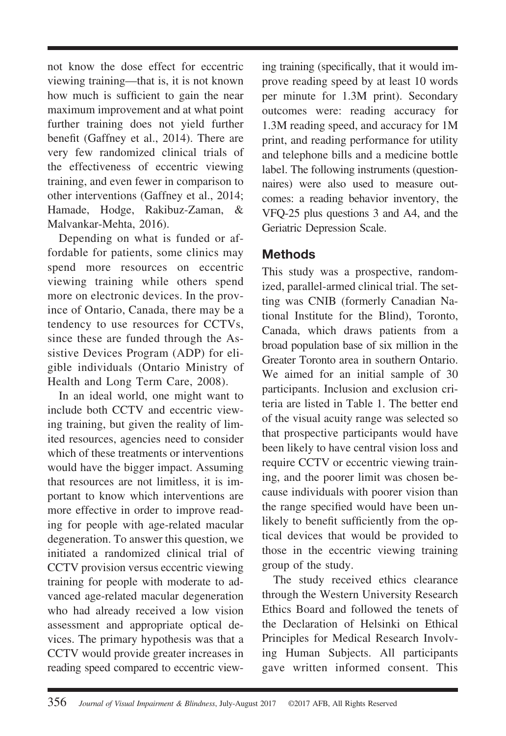not know the dose effect for eccentric viewing training—that is, it is not known how much is sufficient to gain the near maximum improvement and at what point further training does not yield further benefit (Gaffney et al., 2014). There are very few randomized clinical trials of the effectiveness of eccentric viewing training, and even fewer in comparison to other interventions (Gaffney et al., 2014; Hamade, Hodge, Rakibuz-Zaman, & Malvankar-Mehta, 2016).

Depending on what is funded or affordable for patients, some clinics may spend more resources on eccentric viewing training while others spend more on electronic devices. In the province of Ontario, Canada, there may be a tendency to use resources for CCTVs, since these are funded through the Assistive Devices Program (ADP) for eligible individuals (Ontario Ministry of Health and Long Term Care, 2008).

In an ideal world, one might want to include both CCTV and eccentric viewing training, but given the reality of limited resources, agencies need to consider which of these treatments or interventions would have the bigger impact. Assuming that resources are not limitless, it is important to know which interventions are more effective in order to improve reading for people with age-related macular degeneration. To answer this question, we initiated a randomized clinical trial of CCTV provision versus eccentric viewing training for people with moderate to advanced age-related macular degeneration who had already received a low vision assessment and appropriate optical devices. The primary hypothesis was that a CCTV would provide greater increases in reading speed compared to eccentric viewing training (specifically, that it would improve reading speed by at least 10 words per minute for 1.3M print). Secondary outcomes were: reading accuracy for 1.3M reading speed, and accuracy for 1M print, and reading performance for utility and telephone bills and a medicine bottle label. The following instruments (questionnaires) were also used to measure outcomes: a reading behavior inventory, the VFQ-25 plus questions 3 and A4, and the Geriatric Depression Scale.

# **Methods**

This study was a prospective, randomized, parallel-armed clinical trial. The setting was CNIB (formerly Canadian National Institute for the Blind), Toronto, Canada, which draws patients from a broad population base of six million in the Greater Toronto area in southern Ontario. We aimed for an initial sample of 30 participants. Inclusion and exclusion criteria are listed in Table 1. The better end of the visual acuity range was selected so that prospective participants would have been likely to have central vision loss and require CCTV or eccentric viewing training, and the poorer limit was chosen because individuals with poorer vision than the range specified would have been unlikely to benefit sufficiently from the optical devices that would be provided to those in the eccentric viewing training group of the study.

The study received ethics clearance through the Western University Research Ethics Board and followed the tenets of the Declaration of Helsinki on Ethical Principles for Medical Research Involving Human Subjects. All participants gave written informed consent. This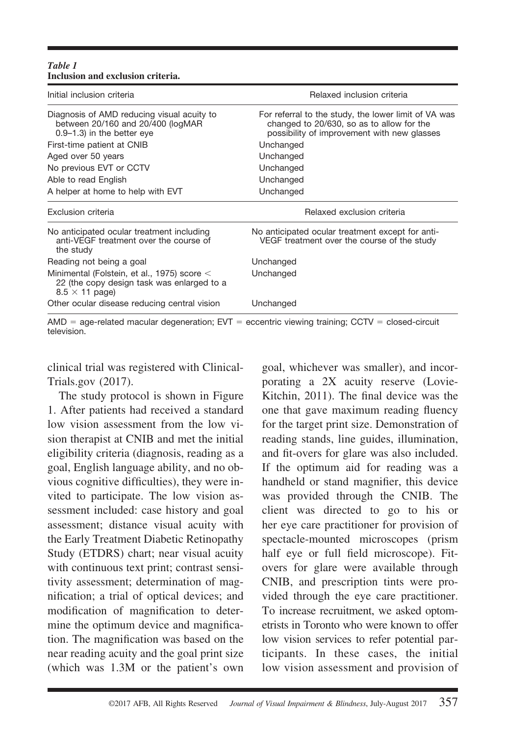| Table 1                           |  |
|-----------------------------------|--|
| Inclusion and exclusion criteria. |  |

| Relaxed inclusion criteria                                                                                                                       |  |
|--------------------------------------------------------------------------------------------------------------------------------------------------|--|
| For referral to the study, the lower limit of VA was<br>changed to 20/630, so as to allow for the<br>possibility of improvement with new glasses |  |
| Unchanged                                                                                                                                        |  |
| Unchanged                                                                                                                                        |  |
| Unchanged                                                                                                                                        |  |
| Unchanged                                                                                                                                        |  |
| Unchanged                                                                                                                                        |  |
| Relaxed exclusion criteria                                                                                                                       |  |
| No anticipated ocular treatment except for anti-<br>VEGF treatment over the course of the study                                                  |  |
| Unchanged                                                                                                                                        |  |
| Unchanged                                                                                                                                        |  |
| Unchanged                                                                                                                                        |  |
|                                                                                                                                                  |  |

AMD = age-related macular degeneration; EVT = eccentric viewing training; CCTV = closed-circuit television.

clinical trial was registered with Clinical-Trials.gov (2017).

The study protocol is shown in Figure 1. After patients had received a standard low vision assessment from the low vision therapist at CNIB and met the initial eligibility criteria (diagnosis, reading as a goal, English language ability, and no obvious cognitive difficulties), they were invited to participate. The low vision assessment included: case history and goal assessment; distance visual acuity with the Early Treatment Diabetic Retinopathy Study (ETDRS) chart; near visual acuity with continuous text print; contrast sensitivity assessment; determination of magnification; a trial of optical devices; and modification of magnification to determine the optimum device and magnification. The magnification was based on the near reading acuity and the goal print size (which was 1.3M or the patient's own

goal, whichever was smaller), and incorporating a 2X acuity reserve (Lovie-Kitchin, 2011). The final device was the one that gave maximum reading fluency for the target print size. Demonstration of reading stands, line guides, illumination, and fit-overs for glare was also included. If the optimum aid for reading was a handheld or stand magnifier, this device was provided through the CNIB. The client was directed to go to his or her eye care practitioner for provision of spectacle-mounted microscopes (prism half eye or full field microscope). Fitovers for glare were available through CNIB, and prescription tints were provided through the eye care practitioner. To increase recruitment, we asked optometrists in Toronto who were known to offer low vision services to refer potential participants. In these cases, the initial low vision assessment and provision of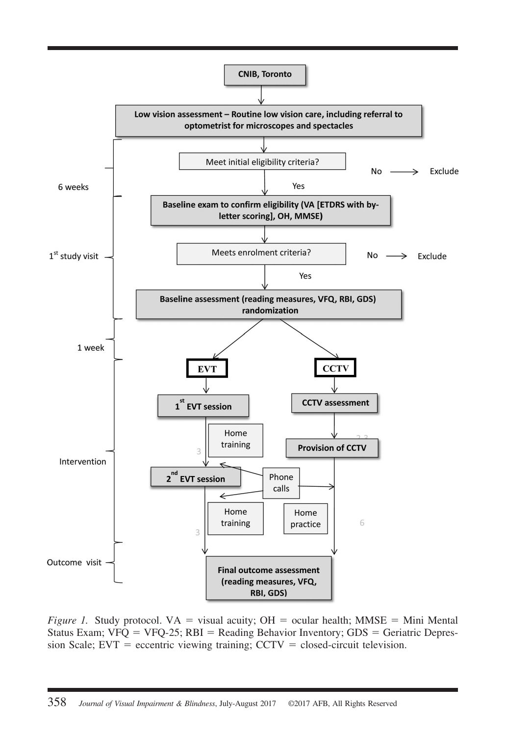

*Figure 1.* Study protocol.  $VA =$  visual acuity;  $OH =$  ocular health; MMSE = Mini Mental Status Exam;  $VFQ = VFQ-25$ ; RBI = Reading Behavior Inventory; GDS = Geriatric Depres $sion Scale$ ;  $EVT$  = eccentric viewing training;  $CCTV$  = closed-circuit television.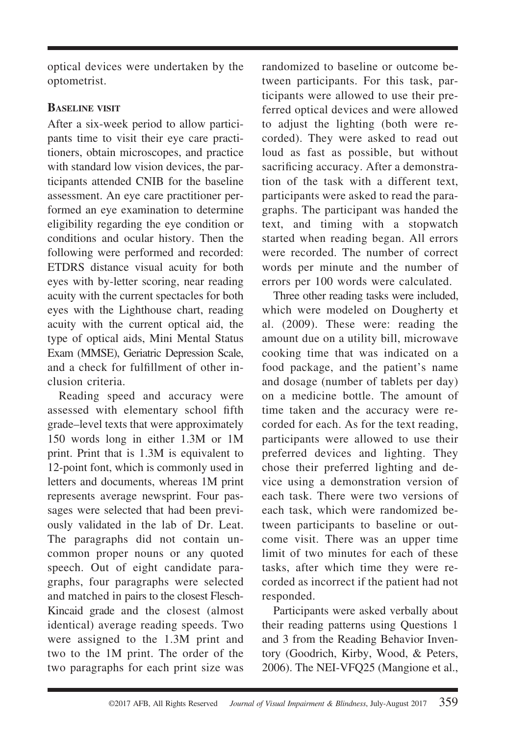optical devices were undertaken by the optometrist.

## **BASELINE VISIT**

After a six-week period to allow participants time to visit their eye care practitioners, obtain microscopes, and practice with standard low vision devices, the participants attended CNIB for the baseline assessment. An eye care practitioner performed an eye examination to determine eligibility regarding the eye condition or conditions and ocular history. Then the following were performed and recorded: ETDRS distance visual acuity for both eyes with by-letter scoring, near reading acuity with the current spectacles for both eyes with the Lighthouse chart, reading acuity with the current optical aid, the type of optical aids, Mini Mental Status Exam (MMSE), Geriatric Depression Scale, and a check for fulfillment of other inclusion criteria.

Reading speed and accuracy were assessed with elementary school fifth grade–level texts that were approximately 150 words long in either 1.3M or 1M print. Print that is 1.3M is equivalent to 12-point font, which is commonly used in letters and documents, whereas 1M print represents average newsprint. Four passages were selected that had been previously validated in the lab of Dr. Leat. The paragraphs did not contain uncommon proper nouns or any quoted speech. Out of eight candidate paragraphs, four paragraphs were selected and matched in pairs to the closest Flesch-Kincaid grade and the closest (almost identical) average reading speeds. Two were assigned to the 1.3M print and two to the 1M print. The order of the two paragraphs for each print size was

randomized to baseline or outcome between participants. For this task, participants were allowed to use their preferred optical devices and were allowed to adjust the lighting (both were recorded). They were asked to read out loud as fast as possible, but without sacrificing accuracy. After a demonstration of the task with a different text, participants were asked to read the paragraphs. The participant was handed the text, and timing with a stopwatch started when reading began. All errors were recorded. The number of correct words per minute and the number of errors per 100 words were calculated.

Three other reading tasks were included, which were modeled on Dougherty et al. (2009). These were: reading the amount due on a utility bill, microwave cooking time that was indicated on a food package, and the patient's name and dosage (number of tablets per day) on a medicine bottle. The amount of time taken and the accuracy were recorded for each. As for the text reading, participants were allowed to use their preferred devices and lighting. They chose their preferred lighting and device using a demonstration version of each task. There were two versions of each task, which were randomized between participants to baseline or outcome visit. There was an upper time limit of two minutes for each of these tasks, after which time they were recorded as incorrect if the patient had not responded.

Participants were asked verbally about their reading patterns using Questions 1 and 3 from the Reading Behavior Inventory (Goodrich, Kirby, Wood, & Peters, 2006). The NEI-VFQ25 (Mangione et al.,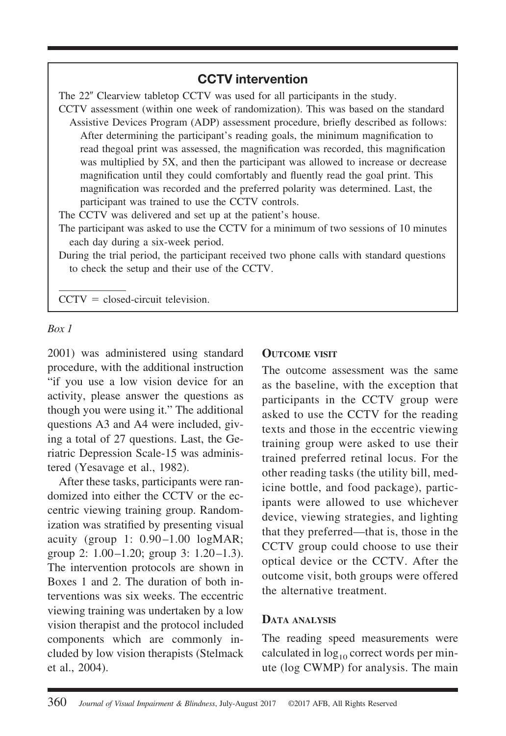# **CCTV intervention**

The 22" Clearview tabletop CCTV was used for all participants in the study.

CCTV assessment (within one week of randomization). This was based on the standard Assistive Devices Program (ADP) assessment procedure, briefly described as follows: After determining the participant's reading goals, the minimum magnification to read thegoal print was assessed, the magnification was recorded, this magnification was multiplied by 5X, and then the participant was allowed to increase or decrease magnification until they could comfortably and fluently read the goal print. This magnification was recorded and the preferred polarity was determined. Last, the participant was trained to use the CCTV controls.

The CCTV was delivered and set up at the patient's house.

The participant was asked to use the CCTV for a minimum of two sessions of 10 minutes each day during a six-week period.

During the trial period, the participant received two phone calls with standard questions to check the setup and their use of the CCTV.

 $CCTV = closed-circuit television.$ 

#### *Box 1*

2001) was administered using standard procedure, with the additional instruction "if you use a low vision device for an activity, please answer the questions as though you were using it." The additional questions A3 and A4 were included, giving a total of 27 questions. Last, the Geriatric Depression Scale-15 was administered (Yesavage et al., 1982).

After these tasks, participants were randomized into either the CCTV or the eccentric viewing training group. Randomization was stratified by presenting visual acuity (group 1: 0.90-1.00 logMAR; group 2:  $1.00-1.20$ ; group 3:  $1.20-1.3$ ). The intervention protocols are shown in Boxes 1 and 2. The duration of both interventions was six weeks. The eccentric viewing training was undertaken by a low vision therapist and the protocol included components which are commonly included by low vision therapists (Stelmack et al., 2004).

#### **OUTCOME VISIT**

The outcome assessment was the same as the baseline, with the exception that participants in the CCTV group were asked to use the CCTV for the reading texts and those in the eccentric viewing training group were asked to use their trained preferred retinal locus. For the other reading tasks (the utility bill, medicine bottle, and food package), participants were allowed to use whichever device, viewing strategies, and lighting that they preferred—that is, those in the CCTV group could choose to use their optical device or the CCTV. After the outcome visit, both groups were offered the alternative treatment.

#### **DATA ANALYSIS**

The reading speed measurements were calculated in  $log_{10}$  correct words per minute (log CWMP) for analysis. The main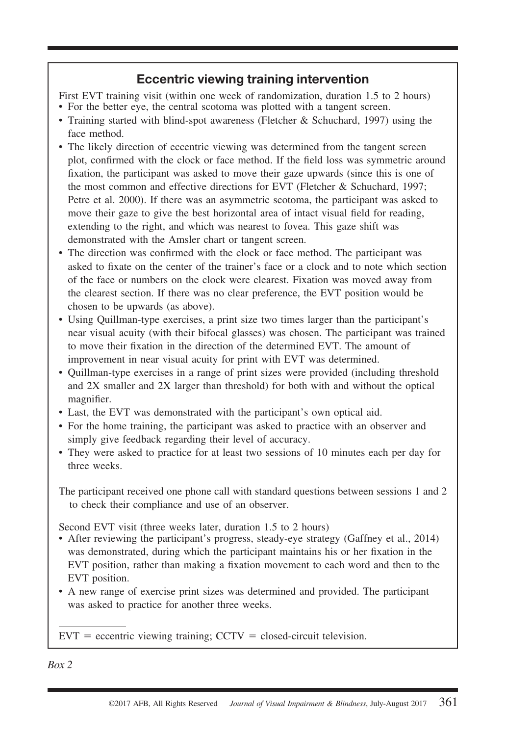# **Eccentric viewing training intervention**

First EVT training visit (within one week of randomization, duration 1.5 to 2 hours)

- For the better eye, the central scotoma was plotted with a tangent screen.
- Training started with blind-spot awareness (Fletcher & Schuchard, 1997) using the face method.
- The likely direction of eccentric viewing was determined from the tangent screen plot, confirmed with the clock or face method. If the field loss was symmetric around fixation, the participant was asked to move their gaze upwards (since this is one of the most common and effective directions for EVT (Fletcher & Schuchard, 1997; Petre et al. 2000). If there was an asymmetric scotoma, the participant was asked to move their gaze to give the best horizontal area of intact visual field for reading, extending to the right, and which was nearest to fovea. This gaze shift was demonstrated with the Amsler chart or tangent screen.
- The direction was confirmed with the clock or face method. The participant was asked to fixate on the center of the trainer's face or a clock and to note which section of the face or numbers on the clock were clearest. Fixation was moved away from the clearest section. If there was no clear preference, the EVT position would be chosen to be upwards (as above).
- Using Quillman-type exercises, a print size two times larger than the participant's near visual acuity (with their bifocal glasses) was chosen. The participant was trained to move their fixation in the direction of the determined EVT. The amount of improvement in near visual acuity for print with EVT was determined.
- Quillman-type exercises in a range of print sizes were provided (including threshold and 2X smaller and 2X larger than threshold) for both with and without the optical magnifier.
- Last, the EVT was demonstrated with the participant's own optical aid.
- For the home training, the participant was asked to practice with an observer and simply give feedback regarding their level of accuracy.
- They were asked to practice for at least two sessions of 10 minutes each per day for three weeks.

The participant received one phone call with standard questions between sessions 1 and 2 to check their compliance and use of an observer.

Second EVT visit (three weeks later, duration 1.5 to 2 hours)

- After reviewing the participant's progress, steady-eye strategy (Gaffney et al., 2014) was demonstrated, during which the participant maintains his or her fixation in the EVT position, rather than making a fixation movement to each word and then to the EVT position.
- A new range of exercise print sizes was determined and provided. The participant was asked to practice for another three weeks.

 $EVT =$  eccentric viewing training;  $CCTV =$  closed-circuit television.

*Box 2*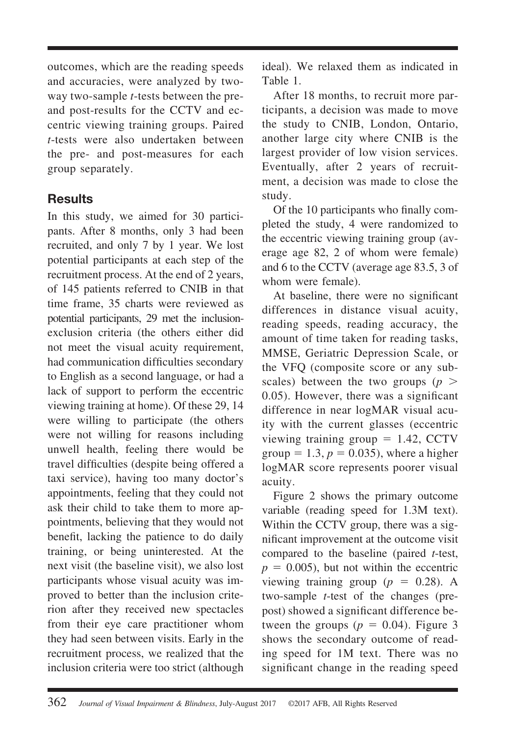outcomes, which are the reading speeds and accuracies, were analyzed by twoway two-sample *t*-tests between the preand post-results for the CCTV and eccentric viewing training groups. Paired *t*-tests were also undertaken between the pre- and post-measures for each group separately.

# **Results**

In this study, we aimed for 30 participants. After 8 months, only 3 had been recruited, and only 7 by 1 year. We lost potential participants at each step of the recruitment process. At the end of 2 years, of 145 patients referred to CNIB in that time frame, 35 charts were reviewed as potential participants, 29 met the inclusionexclusion criteria (the others either did not meet the visual acuity requirement, had communication difficulties secondary to English as a second language, or had a lack of support to perform the eccentric viewing training at home). Of these 29, 14 were willing to participate (the others were not willing for reasons including unwell health, feeling there would be travel difficulties (despite being offered a taxi service), having too many doctor's appointments, feeling that they could not ask their child to take them to more appointments, believing that they would not benefit, lacking the patience to do daily training, or being uninterested. At the next visit (the baseline visit), we also lost participants whose visual acuity was improved to better than the inclusion criterion after they received new spectacles from their eye care practitioner whom they had seen between visits. Early in the recruitment process, we realized that the inclusion criteria were too strict (although

ideal). We relaxed them as indicated in Table 1.

After 18 months, to recruit more participants, a decision was made to move the study to CNIB, London, Ontario, another large city where CNIB is the largest provider of low vision services. Eventually, after 2 years of recruitment, a decision was made to close the study.

Of the 10 participants who finally completed the study, 4 were randomized to the eccentric viewing training group (average age 82, 2 of whom were female) and 6 to the CCTV (average age 83.5, 3 of whom were female).

At baseline, there were no significant differences in distance visual acuity, reading speeds, reading accuracy, the amount of time taken for reading tasks, MMSE, Geriatric Depression Scale, or the VFQ (composite score or any subscales) between the two groups  $(p >$ 0.05). However, there was a significant difference in near logMAR visual acuity with the current glasses (eccentric viewing training group  $= 1.42$ , CCTV group =  $1.3$ ,  $p = 0.035$ ), where a higher logMAR score represents poorer visual acuity.

Figure 2 shows the primary outcome variable (reading speed for 1.3M text). Within the CCTV group, there was a significant improvement at the outcome visit compared to the baseline (paired *t*-test,  $p = 0.005$ ), but not within the eccentric viewing training group ( $p = 0.28$ ). A two-sample *t*-test of the changes (prepost) showed a significant difference between the groups ( $p = 0.04$ ). Figure 3 shows the secondary outcome of reading speed for 1M text. There was no significant change in the reading speed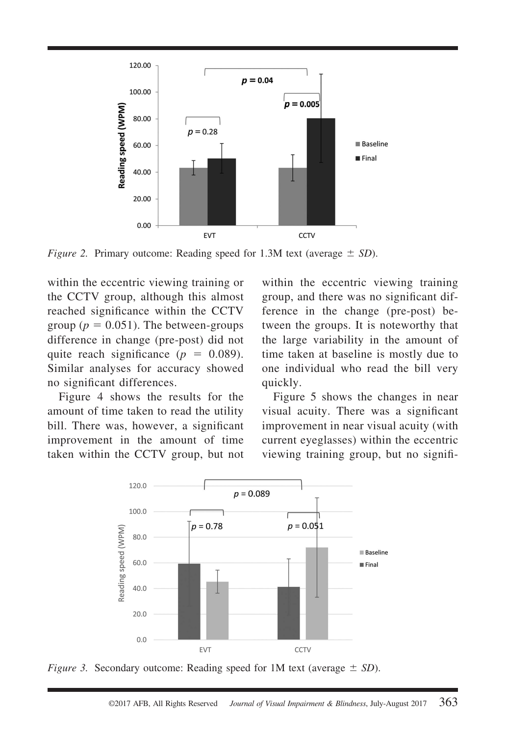

*Figure 2.* Primary outcome: Reading speed for 1.3M text (average  $\pm$  SD).

within the eccentric viewing training or the CCTV group, although this almost reached significance within the CCTV group ( $p = 0.051$ ). The between-groups difference in change (pre-post) did not quite reach significance  $(p = 0.089)$ . Similar analyses for accuracy showed no significant differences.

Figure 4 shows the results for the amount of time taken to read the utility bill. There was, however, a significant improvement in the amount of time taken within the CCTV group, but not within the eccentric viewing training group, and there was no significant difference in the change (pre-post) between the groups. It is noteworthy that the large variability in the amount of time taken at baseline is mostly due to one individual who read the bill very quickly.

Figure 5 shows the changes in near visual acuity. There was a significant improvement in near visual acuity (with current eyeglasses) within the eccentric viewing training group, but no signifi-



*Figure 3.* Secondary outcome: Reading speed for 1M text (average  $\pm$  SD).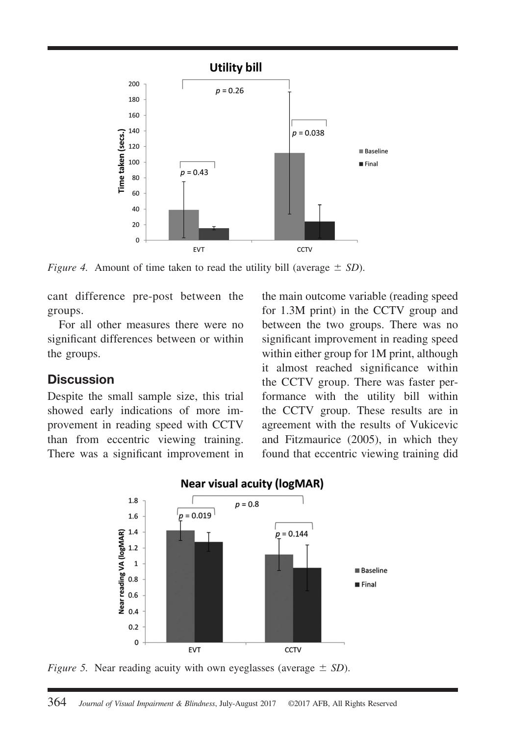

*Figure 4.* Amount of time taken to read the utility bill (average  $\pm$  SD).

cant difference pre-post between the groups.

For all other measures there were no significant differences between or within the groups.

## **Discussion**

Despite the small sample size, this trial showed early indications of more improvement in reading speed with CCTV than from eccentric viewing training. There was a significant improvement in the main outcome variable (reading speed for 1.3M print) in the CCTV group and between the two groups. There was no significant improvement in reading speed within either group for 1M print, although it almost reached significance within the CCTV group. There was faster performance with the utility bill within the CCTV group. These results are in agreement with the results of Vukicevic and Fitzmaurice (2005), in which they found that eccentric viewing training did



#### **Near visual acuity (logMAR)**

*Figure 5.* Near reading acuity with own eyeglasses (average  $\pm$  SD).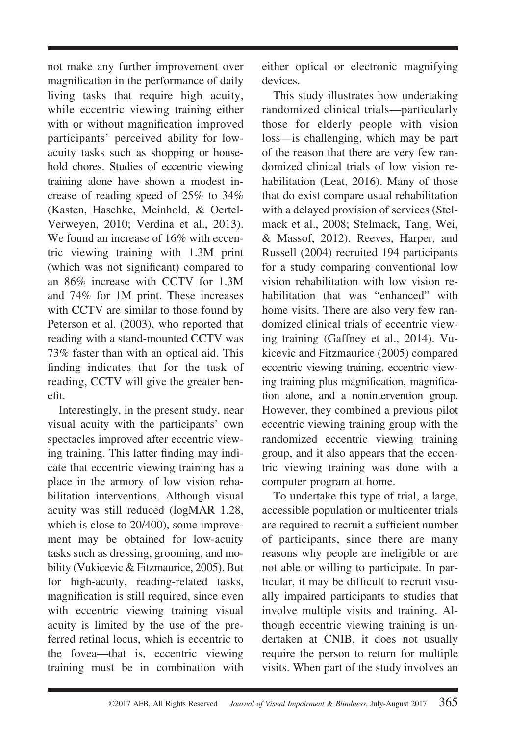not make any further improvement over magnification in the performance of daily living tasks that require high acuity, while eccentric viewing training either with or without magnification improved participants' perceived ability for lowacuity tasks such as shopping or household chores. Studies of eccentric viewing training alone have shown a modest increase of reading speed of 25% to 34% (Kasten, Haschke, Meinhold, & Oertel-Verweyen, 2010; Verdina et al., 2013). We found an increase of 16% with eccentric viewing training with 1.3M print (which was not significant) compared to an 86% increase with CCTV for 1.3M and 74% for 1M print. These increases with CCTV are similar to those found by Peterson et al. (2003), who reported that reading with a stand-mounted CCTV was 73% faster than with an optical aid. This finding indicates that for the task of reading, CCTV will give the greater benefit.

Interestingly, in the present study, near visual acuity with the participants' own spectacles improved after eccentric viewing training. This latter finding may indicate that eccentric viewing training has a place in the armory of low vision rehabilitation interventions. Although visual acuity was still reduced (logMAR 1.28, which is close to 20/400), some improvement may be obtained for low-acuity tasks such as dressing, grooming, and mobility (Vukicevic & Fitzmaurice, 2005). But for high-acuity, reading-related tasks, magnification is still required, since even with eccentric viewing training visual acuity is limited by the use of the preferred retinal locus, which is eccentric to the fovea—that is, eccentric viewing training must be in combination with either optical or electronic magnifying devices.

This study illustrates how undertaking randomized clinical trials—particularly those for elderly people with vision loss—is challenging, which may be part of the reason that there are very few randomized clinical trials of low vision rehabilitation (Leat, 2016). Many of those that do exist compare usual rehabilitation with a delayed provision of services (Stelmack et al., 2008; Stelmack, Tang, Wei, & Massof, 2012). Reeves, Harper, and Russell (2004) recruited 194 participants for a study comparing conventional low vision rehabilitation with low vision rehabilitation that was "enhanced" with home visits. There are also very few randomized clinical trials of eccentric viewing training (Gaffney et al., 2014). Vukicevic and Fitzmaurice (2005) compared eccentric viewing training, eccentric viewing training plus magnification, magnification alone, and a nonintervention group. However, they combined a previous pilot eccentric viewing training group with the randomized eccentric viewing training group, and it also appears that the eccentric viewing training was done with a computer program at home.

To undertake this type of trial, a large, accessible population or multicenter trials are required to recruit a sufficient number of participants, since there are many reasons why people are ineligible or are not able or willing to participate. In particular, it may be difficult to recruit visually impaired participants to studies that involve multiple visits and training. Although eccentric viewing training is undertaken at CNIB, it does not usually require the person to return for multiple visits. When part of the study involves an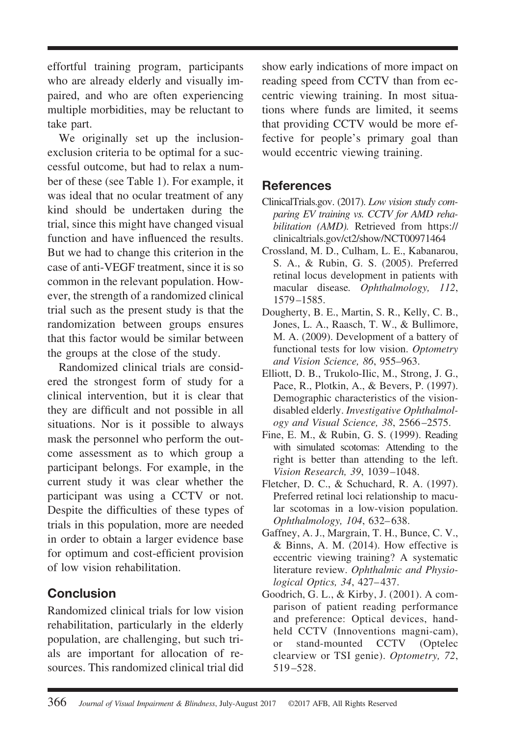effortful training program, participants who are already elderly and visually impaired, and who are often experiencing multiple morbidities, may be reluctant to take part.

We originally set up the inclusionexclusion criteria to be optimal for a successful outcome, but had to relax a number of these (see Table 1). For example, it was ideal that no ocular treatment of any kind should be undertaken during the trial, since this might have changed visual function and have influenced the results. But we had to change this criterion in the case of anti-VEGF treatment, since it is so common in the relevant population. However, the strength of a randomized clinical trial such as the present study is that the randomization between groups ensures that this factor would be similar between the groups at the close of the study.

Randomized clinical trials are considered the strongest form of study for a clinical intervention, but it is clear that they are difficult and not possible in all situations. Nor is it possible to always mask the personnel who perform the outcome assessment as to which group a participant belongs. For example, in the current study it was clear whether the participant was using a CCTV or not. Despite the difficulties of these types of trials in this population, more are needed in order to obtain a larger evidence base for optimum and cost-efficient provision of low vision rehabilitation.

# **Conclusion**

Randomized clinical trials for low vision rehabilitation, particularly in the elderly population, are challenging, but such trials are important for allocation of resources. This randomized clinical trial did

show early indications of more impact on reading speed from CCTV than from eccentric viewing training. In most situations where funds are limited, it seems that providing CCTV would be more effective for people's primary goal than would eccentric viewing training.

# **References**

- [ClinicalTrials.gov.](ClinicalTrials.gov) (2017). *Low vision study comparing EV training vs. CCTV for AMD rehabilitation (AMD).* Retrieved from [https://](https://clinicaltrials.gov/ct2/show/NCT00971464) [clinicaltrials.gov/ct2/show/NCT00971464](https://clinicaltrials.gov/ct2/show/NCT00971464)
- Crossland, M. D., Culham, L. E., Kabanarou, S. A., & Rubin, G. S. (2005). Preferred retinal locus development in patients with macular disease*. Ophthalmology, 112*, 1579 –1585.
- Dougherty, B. E., Martin, S. R., Kelly, C. B., Jones, L. A., Raasch, T. W., & Bullimore, M. A. (2009). Development of a battery of functional tests for low vision. *Optometry and Vision Science, 86*, 955–963.
- Elliott, D. B., Trukolo-Ilic, M., Strong, J. G., Pace, R., Plotkin, A., & Bevers, P. (1997). Demographic characteristics of the visiondisabled elderly. *Investigative Ophthalmology and Visual Science, 38*, 2566 –2575.
- Fine, E. M., & Rubin, G. S. (1999). Reading with simulated scotomas: Attending to the right is better than attending to the left. *Vision Research, 39*, 1039 –1048.
- Fletcher, D. C., & Schuchard, R. A. (1997). Preferred retinal loci relationship to macular scotomas in a low-vision population. *Ophthalmology, 104*, 632– 638.
- Gaffney, A. J., Margrain, T. H., Bunce, C. V., & Binns, A. M. (2014). How effective is eccentric viewing training? A systematic literature review. *Ophthalmic and Physiological Optics, 34*, 427– 437.
- Goodrich, G. L., & Kirby, J. (2001). A comparison of patient reading performance and preference: Optical devices, handheld CCTV (Innoventions magni-cam), or stand-mounted CCTV (Optelec clearview or TSI genie). *Optometry, 72*, 519 –528.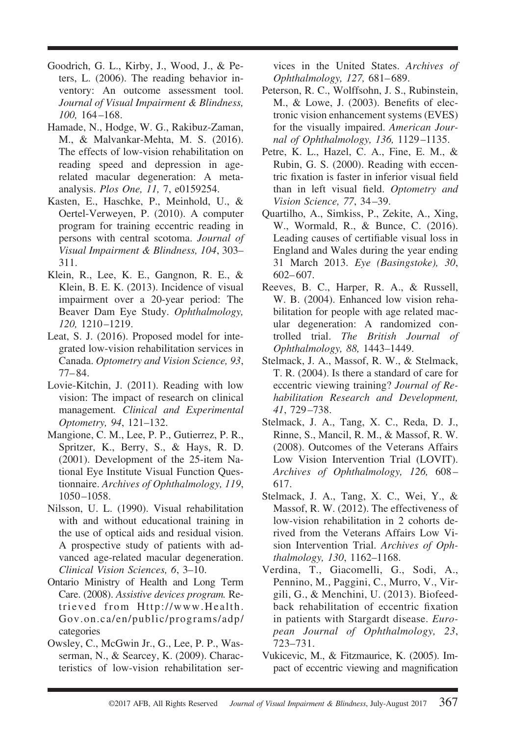- Goodrich, G. L., Kirby, J., Wood, J., & Peters, L. (2006). The reading behavior inventory: An outcome assessment tool. *Journal of Visual Impairment & Blindness, 100,* 164 –168.
- Hamade, N., Hodge, W. G., Rakibuz-Zaman, M., & Malvankar-Mehta, M. S. (2016). The effects of low-vision rehabilitation on reading speed and depression in agerelated macular degeneration: A metaanalysis. *Plos One, 11,* 7, e0159254.
- Kasten, E., Haschke, P., Meinhold, U., & Oertel-Verweyen, P. (2010). A computer program for training eccentric reading in persons with central scotoma. *Journal of Visual Impairment & Blindness, 104*, 303– 311.
- Klein, R., Lee, K. E., Gangnon, R. E., & Klein, B. E. K. (2013). Incidence of visual impairment over a 20-year period: The Beaver Dam Eye Study. *Ophthalmology, 120,* 1210 –1219.
- Leat, S. J. (2016). Proposed model for integrated low-vision rehabilitation services in Canada. *Optometry and Vision Science, 93*, 77– 84.
- Lovie-Kitchin, J. (2011). Reading with low vision: The impact of research on clinical management*. Clinical and Experimental Optometry, 94*, 121–132.
- Mangione, C. M., Lee, P. P., Gutierrez, P. R., Spritzer, K., Berry, S., & Hays, R. D. (2001). Development of the 25-item National Eye Institute Visual Function Questionnaire. *Archives of Ophthalmology, 119*, 1050 –1058.
- Nilsson, U. L. (1990). Visual rehabilitation with and without educational training in the use of optical aids and residual vision. A prospective study of patients with advanced age-related macular degeneration. *Clinical Vision Sciences, 6*, 3–10.
- Ontario Ministry of Health and Long Term Care. (2008). *Assistive devices program.* Retrieved from [Http://www.Health.](Http://www.Health.Gov.on.ca/en/public/programs/adp/categories) [Gov.on.ca/en/public/programs/adp/](Http://www.Health.Gov.on.ca/en/public/programs/adp/categories) [categories](Http://www.Health.Gov.on.ca/en/public/programs/adp/categories)
- Owsley, C., McGwin Jr., G., Lee, P. P., Wasserman, N., & Searcey, K. (2009). Characteristics of low-vision rehabilitation ser-

vices in the United States. *Archives of Ophthalmology, 127,* 681– 689.

- Peterson, R. C., Wolffsohn, J. S., Rubinstein, M., & Lowe, J. (2003). Benefits of electronic vision enhancement systems (EVES) for the visually impaired. *American Journal of Ophthalmology, 136,* 1129 –1135.
- Petre, K. L., Hazel, C. A., Fine, E. M., & Rubin, G. S. (2000). Reading with eccentric fixation is faster in inferior visual field than in left visual field. *Optometry and Vision Science, 77*, 34 –39.
- Quartilho, A., Simkiss, P., Zekite, A., Xing, W., Wormald, R., & Bunce, C. (2016). Leading causes of certifiable visual loss in England and Wales during the year ending 31 March 2013. *Eye (Basingstoke), 30*, 602– 607.
- Reeves, B. C., Harper, R. A., & Russell, W. B. (2004). Enhanced low vision rehabilitation for people with age related macular degeneration: A randomized controlled trial. *The British Journal of Ophthalmology, 88,* 1443–1449.
- Stelmack, J. A., Massof, R. W., & Stelmack, T. R. (2004). Is there a standard of care for eccentric viewing training? *Journal of Rehabilitation Research and Development, 41*, 729 –738.
- Stelmack, J. A., Tang, X. C., Reda, D. J., Rinne, S., Mancil, R. M., & Massof, R. W. (2008). Outcomes of the Veterans Affairs Low Vision Intervention Trial (LOVIT). *Archives of Ophthalmology, 126,* 608 – 617.
- Stelmack, J. A., Tang, X. C., Wei, Y., & Massof, R. W. (2012). The effectiveness of low-vision rehabilitation in 2 cohorts derived from the Veterans Affairs Low Vision Intervention Trial. *Archives of Ophthalmology, 130*, 1162–1168.
- Verdina, T., Giacomelli, G., Sodi, A., Pennino, M., Paggini, C., Murro, V., Virgili, G., & Menchini, U. (2013). Biofeedback rehabilitation of eccentric fixation in patients with Stargardt disease. *European Journal of Ophthalmology, 23*, 723–731.
- Vukicevic, M., & Fitzmaurice, K. (2005). Impact of eccentric viewing and magnification